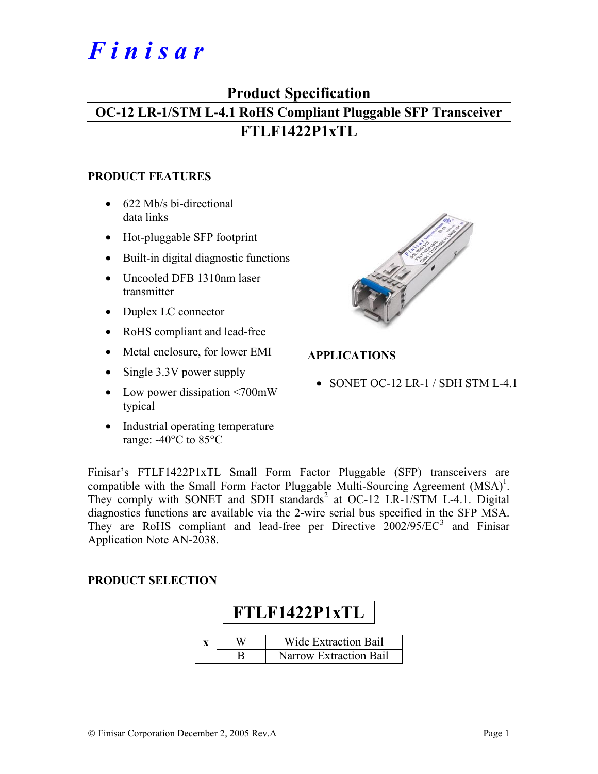# *F i n i s a r*

## **Product Specification**

# **OC-12 LR-1/STM L-4.1 RoHS Compliant Pluggable SFP Transceiver FTLF1422P1xTL**

#### **PRODUCT FEATURES**

- 622 Mb/s bi-directional data links
- Hot-pluggable SFP footprint
- Built-in digital diagnostic functions
- Uncooled DFB 1310nm laser transmitter
- Duplex LC connector
- RoHS compliant and lead-free
- Metal enclosure, for lower EMI
- Single 3.3V power supply
- Low power dissipation <700mW typical
- Industrial operating temperature range: -40°C to 85°C



### **APPLICATIONS**

• SONET OC-12 LR-1 / SDH STM L-4.1

Finisar's FTLF1422P1xTL Small Form Factor Pluggable (SFP) transceivers are compatible with the Small Form Factor Pluggable Multi-Sourcing Agreement  $(MSA)^1$ . They comply with SONET and SDH standards<sup>2</sup> at OC-12 LR-1/STM L-4.1. Digital diagnostics functions are available via the 2-wire serial bus specified in the SFP MSA. They are RoHS compliant and lead-free per Directive  $2002/95/EC^3$  and Finisar Application Note AN-2038.

#### **PRODUCT SELECTION**

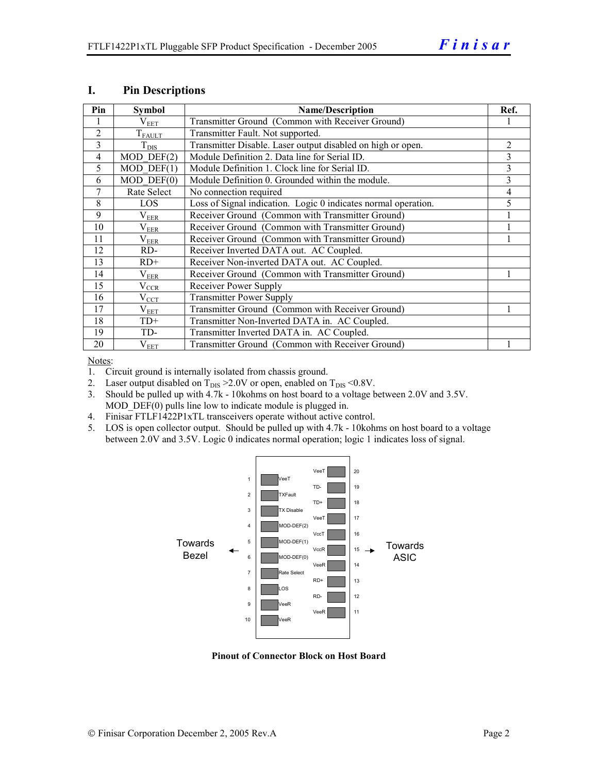| Pin            | <b>Symbol</b>           | <b>Name/Description</b>                                        | Ref.           |
|----------------|-------------------------|----------------------------------------------------------------|----------------|
|                | $\rm V_{EET}$           | Transmitter Ground (Common with Receiver Ground)               |                |
| $\overline{2}$ | $T_{FAULT}$             | Transmitter Fault. Not supported.                              |                |
| 3              | $T_{\rm DIS}$           | Transmitter Disable. Laser output disabled on high or open.    | $\overline{2}$ |
| $\overline{4}$ | $MOD$ DEF $(2)$         | Module Definition 2. Data line for Serial ID.                  | 3              |
| 5              | $\overline{MOD}$ DEF(1) | Module Definition 1. Clock line for Serial ID.                 | 3              |
| 6              | $MOD$ $DEF(0)$          | Module Definition 0. Grounded within the module.               | 3              |
| $\tau$         | Rate Select             | No connection required                                         | 4              |
| 8              | LOS                     | Loss of Signal indication. Logic 0 indicates normal operation. | 5              |
| 9              | $\rm V_{EER}$           | Receiver Ground (Common with Transmitter Ground)               |                |
| 10             | $\rm V_{EER}$           | Receiver Ground (Common with Transmitter Ground)               |                |
| 11             | $\rm V_{EER}$           | Receiver Ground (Common with Transmitter Ground)               |                |
| 12             | RD-                     | Receiver Inverted DATA out. AC Coupled.                        |                |
| 13             | $RD+$                   | Receiver Non-inverted DATA out. AC Coupled.                    |                |
| 14             | $\rm V_{EER}$           | Receiver Ground (Common with Transmitter Ground)               |                |
| 15             | $V_{CCR}$               | Receiver Power Supply                                          |                |
| 16             | $V_{CCT}$               | <b>Transmitter Power Supply</b>                                |                |
| 17             | $\rm V_{EET}$           | Transmitter Ground (Common with Receiver Ground)               |                |
| 18             | $TD+$                   | Transmitter Non-Inverted DATA in. AC Coupled.                  |                |
| 19             | TD-                     | Transmitter Inverted DATA in. AC Coupled.                      |                |
| 20             | $V_{EET}$               | Transmitter Ground (Common with Receiver Ground)               |                |

#### **I. Pin Descriptions**

Notes:

1. Circuit ground is internally isolated from chassis ground.

- 2. Laser output disabled on  $T_{DIS} > 2.0V$  or open, enabled on  $T_{DIS} < 0.8V$ .
- 3. Should be pulled up with 4.7k 10kohms on host board to a voltage between 2.0V and 3.5V. MOD  $DEF(0)$  pulls line low to indicate module is plugged in.
- 4. Finisar FTLF1422P1xTL transceivers operate without active control.
- 5. LOS is open collector output. Should be pulled up with 4.7k 10kohms on host board to a voltage between 2.0V and 3.5V. Logic 0 indicates normal operation; logic 1 indicates loss of signal.



**Pinout of Connector Block on Host Board**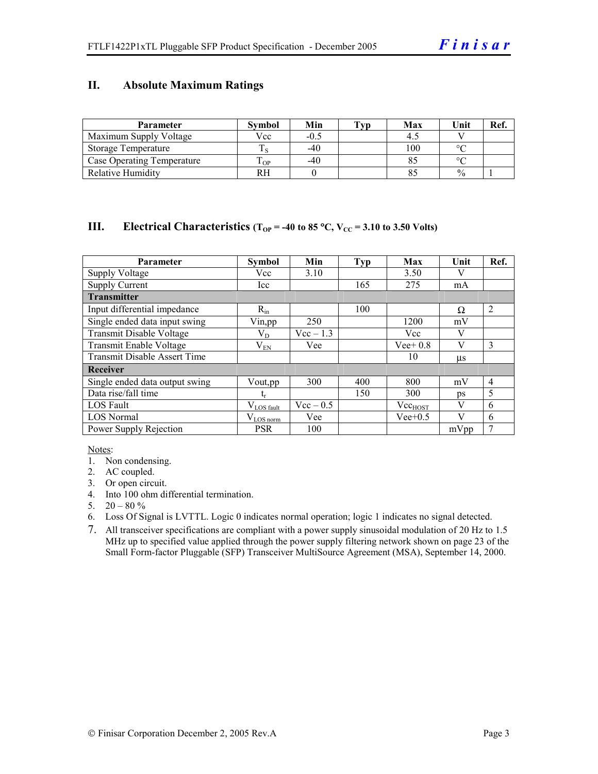#### **II. Absolute Maximum Ratings**

| <b>Parameter</b>                  | <b>Symbol</b> | Min    | Tvp | Max | Unit          | Ref. |
|-----------------------------------|---------------|--------|-----|-----|---------------|------|
| Maximum Supply Voltage            | Vcc           | $-0.5$ |     |     |               |      |
| Storage Temperature               |               | $-40$  |     | 100 | $\circ$       |      |
| <b>Case Operating Temperature</b> | m<br>OP.      | $-40$  |     |     | $\sim$        |      |
| <b>Relative Humidity</b>          | RН            |        |     |     | $\frac{0}{0}$ |      |

#### **III.** Electrical Characteristics ( $T_{OP}$  = -40 to 85 °C,  $V_{CC}$  = 3.10 to 3.50 Volts)

| <b>Parameter</b>                    | <b>Symbol</b>          | Min         | <b>Typ</b> | Max          | Unit    | Ref.           |
|-------------------------------------|------------------------|-------------|------------|--------------|---------|----------------|
| <b>Supply Voltage</b>               | Vcc                    | 3.10        |            | 3.50         |         |                |
| <b>Supply Current</b>               | Icc                    |             | 165        | 275          | mA      |                |
| <b>Transmitter</b>                  |                        |             |            |              |         |                |
| Input differential impedance        | $R_{in}$               |             | 100        |              | Ω       | $\overline{2}$ |
| Single ended data input swing       | Vin, pp                | 250         |            | 1200         | mV      |                |
| Transmit Disable Voltage            | $\rm V_{D}$            | $Vec-1.3$   |            | Vcc          | V       |                |
| Transmit Enable Voltage             | $\rm V_{EN}$           | Vee         |            | $Vee+0.8$    | V       | 3              |
| <b>Transmit Disable Assert Time</b> |                        |             |            | 10           | $\mu$ s |                |
| Receiver                            |                        |             |            |              |         |                |
| Single ended data output swing      | Vout, pp               | 300         | 400        | 800          | mV      | $\overline{4}$ |
| Data rise/fall time                 | $t_r$                  |             | 150        | 300          | ps      | 5              |
| <b>LOS</b> Fault                    | $V_{\text{LOS}}$ fault | $Vec - 0.5$ |            | $Vec_{HOST}$ | V       | 6              |
| <b>LOS Normal</b>                   | $V_{LOS\,norm}$        | Vee         |            | $Vee+0.5$    | V       | 6              |
| Power Supply Rejection              | <b>PSR</b>             | 100         |            |              | mVpp    | 7              |

Notes:

- 1. Non condensing.
- 2. AC coupled.
- 3. Or open circuit.
- 4. Into 100 ohm differential termination.
- 5.  $20 80 \%$
- 6. Loss Of Signal is LVTTL. Logic 0 indicates normal operation; logic 1 indicates no signal detected.
- 7. All transceiver specifications are compliant with a power supply sinusoidal modulation of 20 Hz to 1.5 MHz up to specified value applied through the power supply filtering network shown on page 23 of the Small Form-factor Pluggable (SFP) Transceiver MultiSource Agreement (MSA), September 14, 2000.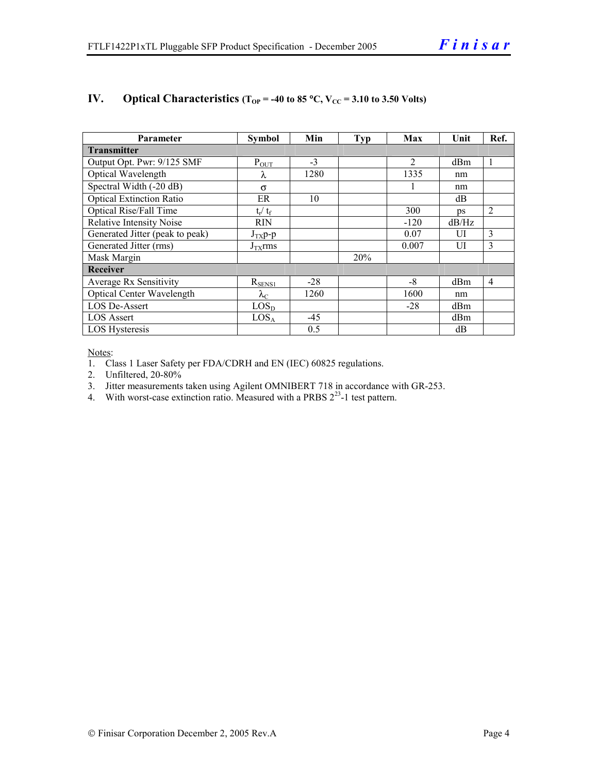| Parameter                         | <b>Symbol</b>     | Min   | <b>Typ</b> | Max            | Unit  | Ref.           |  |  |
|-----------------------------------|-------------------|-------|------------|----------------|-------|----------------|--|--|
| <b>Transmitter</b>                |                   |       |            |                |       |                |  |  |
| Output Opt. Pwr: 9/125 SMF        | $P_{OUT}$         | $-3$  |            | $\overline{2}$ | dBm   |                |  |  |
| Optical Wavelength                | λ                 | 1280  |            | 1335           | nm    |                |  |  |
| Spectral Width $(-20 \text{ dB})$ | $\sigma$          |       |            |                | nm    |                |  |  |
| <b>Optical Extinction Ratio</b>   | ER                | 10    |            |                | dB    |                |  |  |
| Optical Rise/Fall Time            | $t_r / t_f$       |       |            | 300            | DS    | 2              |  |  |
| <b>Relative Intensity Noise</b>   | <b>RIN</b>        |       |            | $-120$         | dB/Hz |                |  |  |
| Generated Jitter (peak to peak)   | $J_{TX}p-p$       |       |            | 0.07           | UI    | 3              |  |  |
| Generated Jitter (rms)            | $J_{TX}$ rms      |       |            | 0.007          | UI    | 3              |  |  |
| Mask Margin                       |                   |       | 20%        |                |       |                |  |  |
| Receiver                          |                   |       |            |                |       |                |  |  |
| Average Rx Sensitivity            | $R_{\rm SENS1}$   | $-28$ |            | $-8$           | dBm   | $\overline{4}$ |  |  |
| <b>Optical Center Wavelength</b>  | $\lambda_{\rm C}$ | 1260  |            | 1600           | nm    |                |  |  |
| <b>LOS De-Assert</b>              | LOS <sub>D</sub>  |       |            | $-28$          | dBm   |                |  |  |
| <b>LOS Assert</b>                 | LOS <sub>A</sub>  | $-45$ |            |                | dBm   |                |  |  |
| LOS Hysteresis                    |                   | 0.5   |            |                | dB    |                |  |  |

#### **IV.** Optical Characteristics ( $T_{OP}$  = -40 to 85 °C,  $V_{CC}$  = 3.10 to 3.50 Volts)

Notes:

1. Class 1 Laser Safety per FDA/CDRH and EN (IEC) 60825 regulations.

2. Unfiltered, 20-80%

3. Jitter measurements taken using Agilent OMNIBERT 718 in accordance with GR-253.

4. With worst-case extinction ratio. Measured with a PRBS  $2^{23}$ -1 test pattern.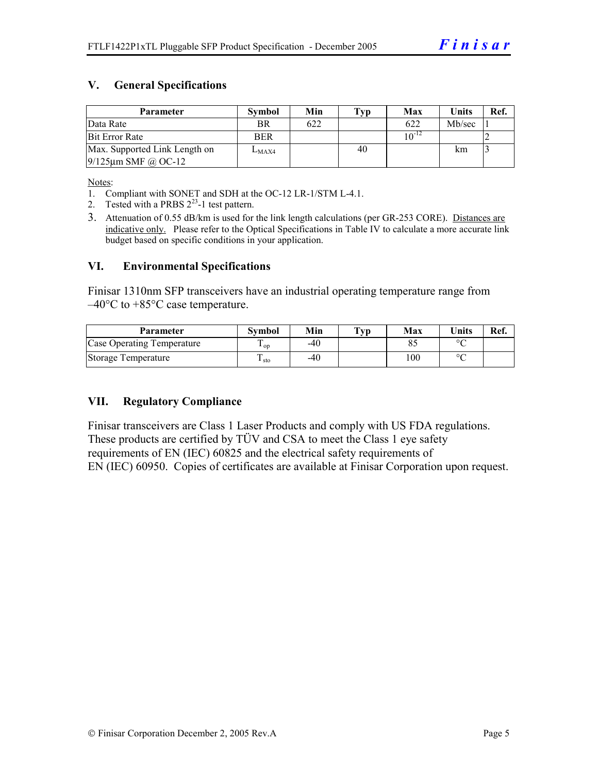#### **V. General Specifications**

| <b>Parameter</b>              | <b>Symbol</b> | Min | $\mathbf{Typ}$ | Max        | <b>Units</b> | Ref. |
|-------------------------------|---------------|-----|----------------|------------|--------------|------|
| Data Rate                     | BR            | 622 |                | 622        | Mb/sec       |      |
| <b>Bit Error Rate</b>         | <b>BER</b>    |     |                | $10^{-12}$ |              |      |
| Max. Supported Link Length on | $L_{MAX4}$    |     | 40             |            | km           |      |
| $9/125$ µm SMF @ OC-12        |               |     |                |            |              |      |

Notes:

- 1. Compliant with SONET and SDH at the OC-12 LR-1/STM L-4.1.
- 2. Tested with a PRBS  $2^{23}$ -1 test pattern.
- 3. Attenuation of 0.55 dB/km is used for the link length calculations (per GR-253 CORE). Distances are indicative only. Please refer to the Optical Specifications in Table IV to calculate a more accurate link budget based on specific conditions in your application.

#### **VI. Environmental Specifications**

Finisar 1310nm SFP transceivers have an industrial operating temperature range from  $-40^{\circ}$ C to  $+85^{\circ}$ C case temperature.

| Parameter                  | Svmbol | Min | $\mathbf{T}_{\mathbf{V}\mathbf{p}}$ | Max | <b>Units</b> | Ref. |
|----------------------------|--------|-----|-------------------------------------|-----|--------------|------|
| Case Operating Temperature | ' op   | -40 |                                     |     | $\circ$      |      |
| Storage Temperature        | ⊥ sto  | -40 |                                     | 100 | $\sim$       |      |

#### **VII. Regulatory Compliance**

Finisar transceivers are Class 1 Laser Products and comply with US FDA regulations. These products are certified by TÜV and CSA to meet the Class 1 eye safety requirements of EN (IEC) 60825 and the electrical safety requirements of EN (IEC) 60950. Copies of certificates are available at Finisar Corporation upon request.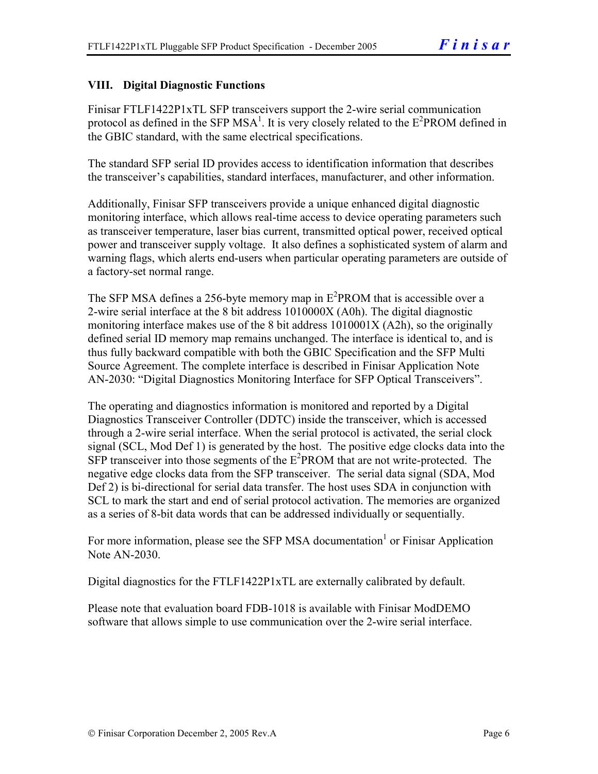#### **VIII. Digital Diagnostic Functions**

Finisar FTLF1422P1xTL SFP transceivers support the 2-wire serial communication protocol as defined in the SFP MSA<sup>1</sup>. It is very closely related to the  $E^2$ PROM defined in the GBIC standard, with the same electrical specifications.

The standard SFP serial ID provides access to identification information that describes the transceiver's capabilities, standard interfaces, manufacturer, and other information.

Additionally, Finisar SFP transceivers provide a unique enhanced digital diagnostic monitoring interface, which allows real-time access to device operating parameters such as transceiver temperature, laser bias current, transmitted optical power, received optical power and transceiver supply voltage. It also defines a sophisticated system of alarm and warning flags, which alerts end-users when particular operating parameters are outside of a factory-set normal range.

The SFP MSA defines a 256-byte memory map in  $E^2$ PROM that is accessible over a 2-wire serial interface at the 8 bit address 1010000X (A0h). The digital diagnostic monitoring interface makes use of the 8 bit address 1010001X (A2h), so the originally defined serial ID memory map remains unchanged. The interface is identical to, and is thus fully backward compatible with both the GBIC Specification and the SFP Multi Source Agreement. The complete interface is described in Finisar Application Note AN-2030: "Digital Diagnostics Monitoring Interface for SFP Optical Transceivers".

The operating and diagnostics information is monitored and reported by a Digital Diagnostics Transceiver Controller (DDTC) inside the transceiver, which is accessed through a 2-wire serial interface. When the serial protocol is activated, the serial clock signal (SCL, Mod Def 1) is generated by the host. The positive edge clocks data into the  $SFP$  transceiver into those segments of the  $E^2$ PROM that are not write-protected. The negative edge clocks data from the SFP transceiver. The serial data signal (SDA, Mod Def 2) is bi-directional for serial data transfer. The host uses SDA in conjunction with SCL to mark the start and end of serial protocol activation. The memories are organized as a series of 8-bit data words that can be addressed individually or sequentially.

For more information, please see the SFP MSA documentation<sup>1</sup> or Finisar Application Note AN-2030.

Digital diagnostics for the FTLF1422P1xTL are externally calibrated by default.

Please note that evaluation board FDB-1018 is available with Finisar ModDEMO software that allows simple to use communication over the 2-wire serial interface.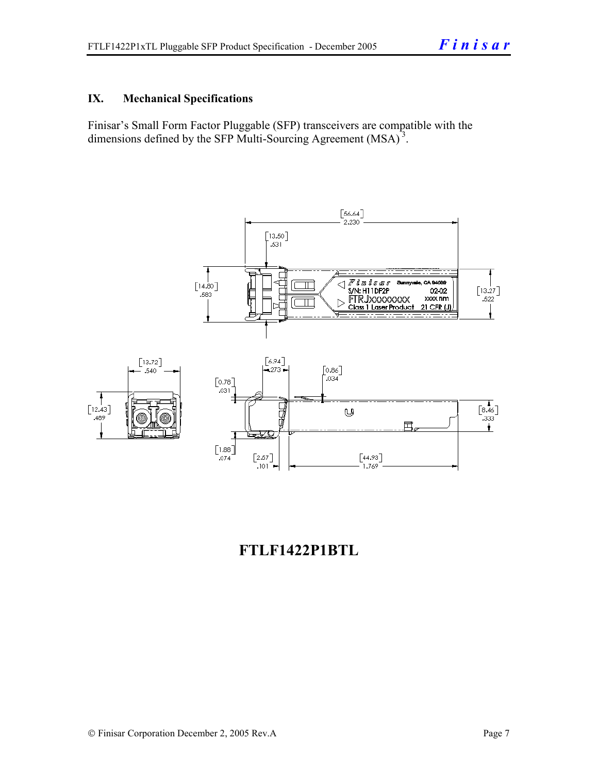#### **IX. Mechanical Specifications**

Finisar's Small Form Factor Pluggable (SFP) transceivers are compatible with the dimensions defined by the SFP Multi-Sourcing Agreement (MSA)<sup>3</sup>.



# **FTLF1422P1BTL**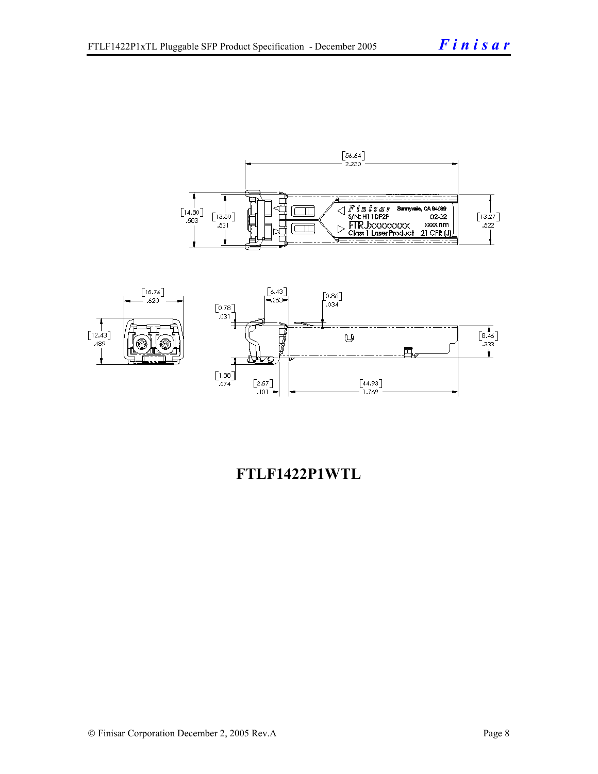



# **FTLF1422P1WTL**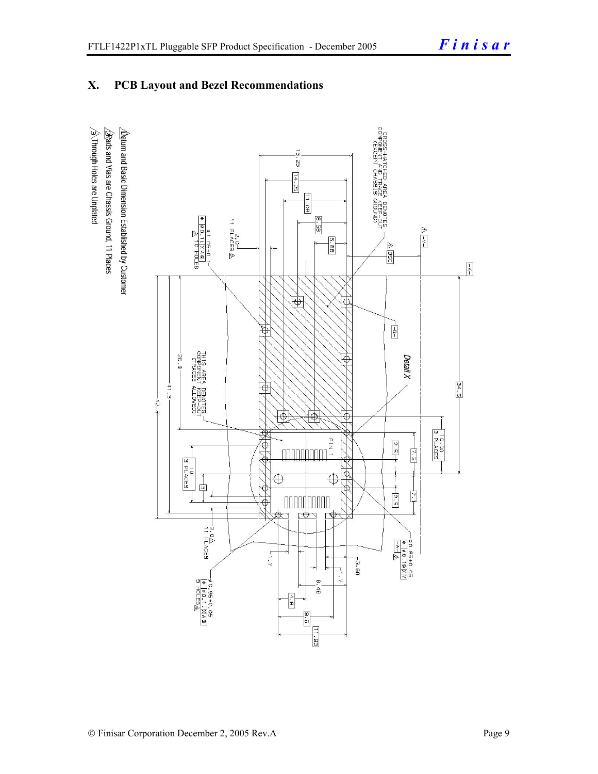## **X. PCB Layout and Bezel Recommendations**

 $\hat{\triangle}$ Through Holes are Unplated  $\Delta$ atum and Basic Dimension Established by Customer  $\triangle$ Rads and Vias are Chassis Ground, 11 Places

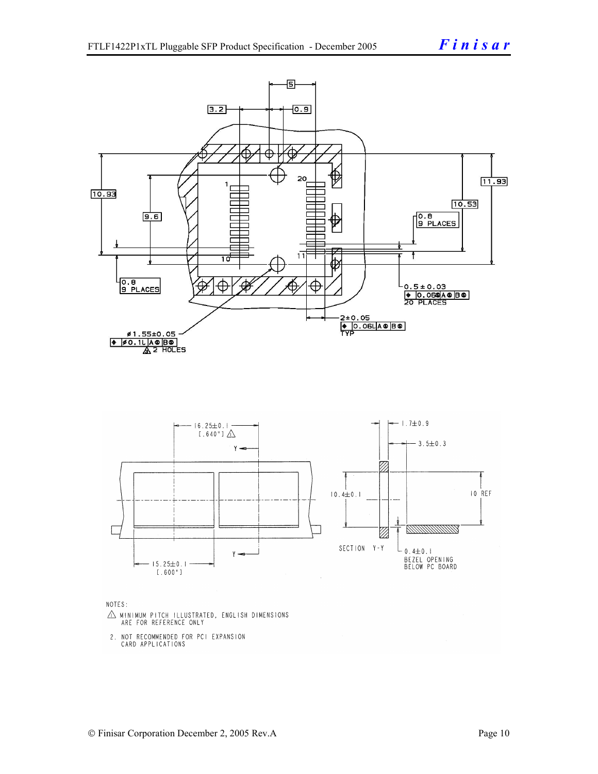

NOTES:

- $\triangle$  MINIMUM PITCH ILLUSTRATED, ENGLISH DIMENSIONS ARE FOR REFERENCE ONLY
- 2. NOT RECOMMENDED FOR PCI EXPANSION CARD APPLICATIONS